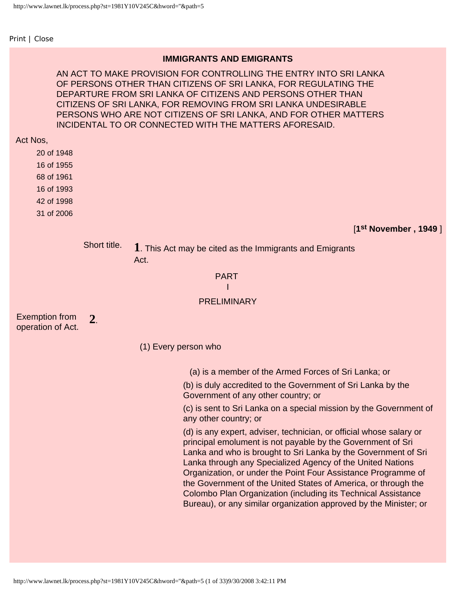<span id="page-0-0"></span>[Print](javascript:;) | [Close](javascript:;)

## **IMMIGRANTS AND EMIGRANTS**

AN ACT TO MAKE PROVISION FOR CONTROLLING THE ENTRY INTO SRI LANKA OF PERSONS OTHER THAN CITIZENS OF SRI LANKA, FOR REGULATING THE DEPARTURE FROM SRI LANKA OF CITIZENS AND PERSONS OTHER THAN CITIZENS OF SRI LANKA, FOR REMOVING FROM SRI LANKA UNDESIRABLE PERSONS WHO ARE NOT CITIZENS OF SRI LANKA, AND FOR OTHER MATTERS INCIDENTAL TO OR CONNECTED WITH THE MATTERS AFORESAID.

#### Act Nos,

20 of 1948

16 of 1955

68 of 1961

16 of 1993

42 of 1998

31 of 2006

[**1st November , 1949** ]

Short title. **1**. This Act may be cited as the Immigrants and Emigrants Act.

## PART

#### I

## **PRELIMINARY**

Exemption from operation of Act. **2**.

(1) Every person who

(a) is a member of the Armed Forces of Sri Lanka; or

(b) is duly accredited to the Government of Sri Lanka by the Government of any other country; or

(c) is sent to Sri Lanka on a special mission by the Government of any other country; or

(d) is any expert, adviser, technician, or official whose salary or principal emolument is not payable by the Government of Sri Lanka and who is brought to Sri Lanka by the Government of Sri Lanka through any Specialized Agency of the United Nations Organization, or under the Point Four Assistance Programme of the Government of the United States of America, or through the Colombo Plan Organization (including its Technical Assistance Bureau), or any similar organization approved by the Minister; or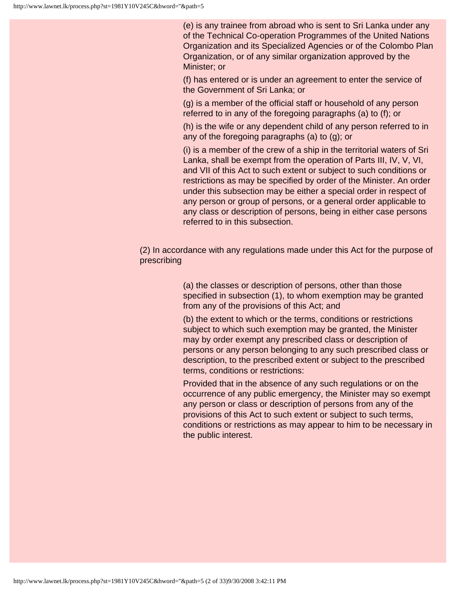(e) is any trainee from abroad who is sent to Sri Lanka under any of the Technical Co-operation Programmes of the United Nations Organization and its Specialized Agencies or of the Colombo Plan Organization, or of any similar organization approved by the Minister; or

(f) has entered or is under an agreement to enter the service of the Government of Sri Lanka; or

(g) is a member of the official staff or household of any person referred to in any of the foregoing paragraphs (a) to (f); or

(h) is the wife or any dependent child of any person referred to in any of the foregoing paragraphs (a) to (g); or

(i) is a member of the crew of a ship in the territorial waters of Sri Lanka, shall be exempt from the operation of Parts III, IV, V, VI, and VII of this Act to such extent or subject to such conditions or restrictions as may be specified by order of the Minister. An order under this subsection may be either a special order in respect of any person or group of persons, or a general order applicable to any class or description of persons, being in either case persons referred to in this subsection.

(2) In accordance with any regulations made under this Act for the purpose of prescribing

> (a) the classes or description of persons, other than those specified in subsection (1), to whom exemption may be granted from any of the provisions of this Act; and

(b) the extent to which or the terms, conditions or restrictions subject to which such exemption may be granted, the Minister may by order exempt any prescribed class or description of persons or any person belonging to any such prescribed class or description, to the prescribed extent or subject to the prescribed terms, conditions or restrictions:

Provided that in the absence of any such regulations or on the occurrence of any public emergency, the Minister may so exempt any person or class or description of persons from any of the provisions of this Act to such extent or subject to such terms, conditions or restrictions as may appear to him to be necessary in the public interest.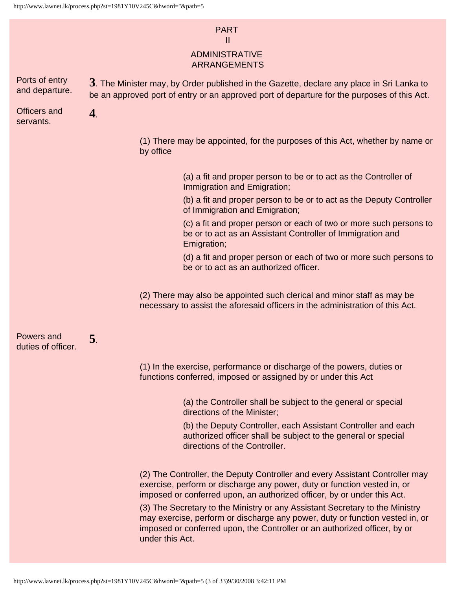## PART

## II

## ADMINISTRATIVE ARRANGEMENTS

| Ports of entry<br>and departure. | $3.$ The Minister may, by Order published in the Gazette, declare any place in Sri Lanka to<br>be an approved port of entry or an approved port of departure for the purposes of this Act. |                                                                                                                                                                                                                                                              |
|----------------------------------|--------------------------------------------------------------------------------------------------------------------------------------------------------------------------------------------|--------------------------------------------------------------------------------------------------------------------------------------------------------------------------------------------------------------------------------------------------------------|
| <b>Officers and</b><br>servants. | $\bf 4$ .                                                                                                                                                                                  |                                                                                                                                                                                                                                                              |
|                                  |                                                                                                                                                                                            | (1) There may be appointed, for the purposes of this Act, whether by name or<br>by office                                                                                                                                                                    |
|                                  |                                                                                                                                                                                            | (a) a fit and proper person to be or to act as the Controller of<br>Immigration and Emigration;                                                                                                                                                              |
|                                  |                                                                                                                                                                                            | (b) a fit and proper person to be or to act as the Deputy Controller<br>of Immigration and Emigration;                                                                                                                                                       |
|                                  |                                                                                                                                                                                            | (c) a fit and proper person or each of two or more such persons to<br>be or to act as an Assistant Controller of Immigration and<br>Emigration;                                                                                                              |
|                                  |                                                                                                                                                                                            | (d) a fit and proper person or each of two or more such persons to<br>be or to act as an authorized officer.                                                                                                                                                 |
|                                  |                                                                                                                                                                                            | (2) There may also be appointed such clerical and minor staff as may be<br>necessary to assist the aforesaid officers in the administration of this Act.                                                                                                     |
| Powers and<br>duties of officer. | 5.                                                                                                                                                                                         |                                                                                                                                                                                                                                                              |
|                                  |                                                                                                                                                                                            | (1) In the exercise, performance or discharge of the powers, duties or<br>functions conferred, imposed or assigned by or under this Act                                                                                                                      |
|                                  |                                                                                                                                                                                            | (a) the Controller shall be subject to the general or special<br>directions of the Minister;                                                                                                                                                                 |
|                                  |                                                                                                                                                                                            | (b) the Deputy Controller, each Assistant Controller and each<br>authorized officer shall be subject to the general or special<br>directions of the Controller.                                                                                              |
|                                  |                                                                                                                                                                                            | (2) The Controller, the Deputy Controller and every Assistant Controller may<br>exercise, perform or discharge any power, duty or function vested in, or<br>imposed or conferred upon, an authorized officer, by or under this Act.                          |
|                                  |                                                                                                                                                                                            | (3) The Secretary to the Ministry or any Assistant Secretary to the Ministry<br>may exercise, perform or discharge any power, duty or function vested in, or<br>imposed or conferred upon, the Controller or an authorized officer, by or<br>under this Act. |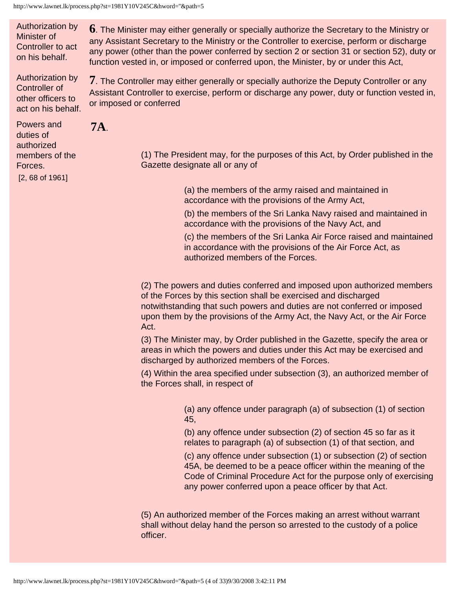Authorization by Minister of Controller to act on his behalf.

Authorization by Controller of other officers to

**6**. The Minister may either generally or specially authorize the Secretary to the Ministry or any Assistant Secretary to the Ministry or the Controller to exercise, perform or discharge any power (other than the power conferred by section 2 or section 31 or section 52), duty or function vested in, or imposed or conferred upon, the Minister, by or under this Act,

act on his behalf. **7**. The Controller may either generally or specially authorize the Deputy Controller or any Assistant Controller to exercise, perform or discharge any power, duty or function vested in, or imposed or conferred

Powers and duties of authorized members of the Forces.

[2, 68 of 1961]

**7A**.

(1) The President may, for the purposes of this Act, by Order published in the Gazette designate all or any of

> (a) the members of the army raised and maintained in accordance with the provisions of the Army Act,

(b) the members of the Sri Lanka Navy raised and maintained in accordance with the provisions of the Navy Act, and

(c) the members of the Sri Lanka Air Force raised and maintained in accordance with the provisions of the Air Force Act, as authorized members of the Forces.

(2) The powers and duties conferred and imposed upon authorized members of the Forces by this section shall be exercised and discharged notwithstanding that such powers and duties are not conferred or imposed upon them by the provisions of the Army Act, the Navy Act, or the Air Force Act.

(3) The Minister may, by Order published in the Gazette, specify the area or areas in which the powers and duties under this Act may be exercised and discharged by authorized members of the Forces.

(4) Within the area specified under subsection (3), an authorized member of the Forces shall, in respect of

> (a) any offence under paragraph (a) of subsection (1) of section 45,

(b) any offence under subsection (2) of section 45 so far as it relates to paragraph (a) of subsection (1) of that section, and

(c) any offence under subsection (1) or subsection (2) of section 45A, be deemed to be a peace officer within the meaning of the Code of Criminal Procedure Act for the purpose only of exercising any power conferred upon a peace officer by that Act.

(5) An authorized member of the Forces making an arrest without warrant shall without delay hand the person so arrested to the custody of a police officer.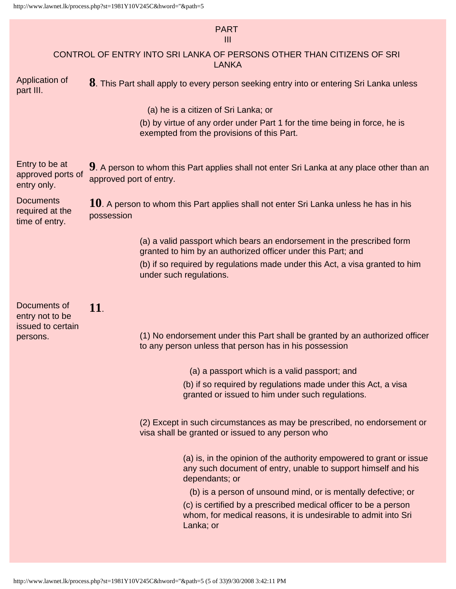## PART

## III

## CONTROL OF ENTRY INTO SRI LANKA OF PERSONS OTHER THAN CITIZENS OF SRI LANKA

Application of part III. **8**. This Part shall apply to every person seeking entry into or entering Sri Lanka unless

(a) he is a citizen of Sri Lanka; or

(b) by virtue of any order under Part 1 for the time being in force, he is exempted from the provisions of this Part.

| Entry to be at<br>approved ports of<br>entry only.    | 9. A person to whom this Part applies shall not enter Sri Lanka at any place other than an<br>approved port of entry. |                                                                                                                                                        |  |
|-------------------------------------------------------|-----------------------------------------------------------------------------------------------------------------------|--------------------------------------------------------------------------------------------------------------------------------------------------------|--|
| <b>Documents</b><br>required at the<br>time of entry. | $10$ . A person to whom this Part applies shall not enter Sri Lanka unless he has in his<br>possession                |                                                                                                                                                        |  |
|                                                       |                                                                                                                       | (a) a valid passport which bears an endorsement in the prescribed form<br>granted to him by an authorized officer under this Part; and                 |  |
|                                                       |                                                                                                                       | (b) if so required by regulations made under this Act, a visa granted to him<br>under such regulations.                                                |  |
| Documents of<br>entry not to be<br>issued to certain  | 11.                                                                                                                   |                                                                                                                                                        |  |
| persons.                                              |                                                                                                                       | (1) No endorsement under this Part shall be granted by an authorized officer<br>to any person unless that person has in his possession                 |  |
|                                                       |                                                                                                                       | (a) a passport which is a valid passport; and                                                                                                          |  |
|                                                       |                                                                                                                       | (b) if so required by regulations made under this Act, a visa<br>granted or issued to him under such regulations.                                      |  |
|                                                       |                                                                                                                       | (2) Except in such circumstances as may be prescribed, no endorsement or<br>visa shall be granted or issued to any person who                          |  |
|                                                       |                                                                                                                       | (a) is, in the opinion of the authority empowered to grant or issue<br>any such document of entry, unable to support himself and his<br>dependants; or |  |
|                                                       |                                                                                                                       | (b) is a person of unsound mind, or is mentally defective; or                                                                                          |  |
|                                                       |                                                                                                                       | (c) is certified by a prescribed medical officer to be a person<br>whom, for medical reasons, it is undesirable to admit into Sri<br>Lanka; or         |  |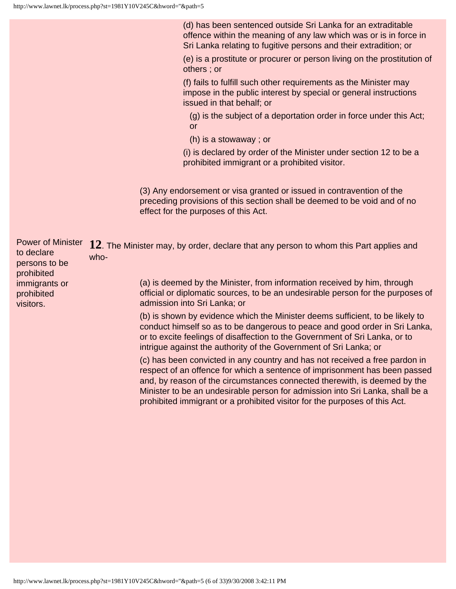(d) has been sentenced outside Sri Lanka for an extraditable offence within the meaning of any law which was or is in force in Sri Lanka relating to fugitive persons and their extradition; or

(e) is a prostitute or procurer or person living on the prostitution of others ; or

(f) fails to fulfill such other requirements as the Minister may impose in the public interest by special or general instructions issued in that behalf; or

(g) is the subject of a deportation order in force under this Act; or

(h) is a stowaway ; or

(i) is declared by order of the Minister under section 12 to be a prohibited immigrant or a prohibited visitor.

(3) Any endorsement or visa granted or issued in contravention of the preceding provisions of this section shall be deemed to be void and of no effect for the purposes of this Act.

| <b>Power of Minister</b><br>to declare<br>persons to be<br>prohibited<br>immigrants or<br>prohibited<br>visitors. | 12. The Minister may, by order, declare that any person to whom this Part applies and<br>who-<br>(a) is deemed by the Minister, from information received by him, through<br>official or diplomatic sources, to be an undesirable person for the purposes of<br>admission into Sri Lanka; or                                                                                                          |
|-------------------------------------------------------------------------------------------------------------------|-------------------------------------------------------------------------------------------------------------------------------------------------------------------------------------------------------------------------------------------------------------------------------------------------------------------------------------------------------------------------------------------------------|
|                                                                                                                   | (b) is shown by evidence which the Minister deems sufficient, to be likely to<br>conduct himself so as to be dangerous to peace and good order in Sri Lanka,<br>or to excite feelings of disaffection to the Government of Sri Lanka, or to<br>intrigue against the authority of the Government of Sri Lanka; or                                                                                      |
|                                                                                                                   | (c) has been convicted in any country and has not received a free pardon in<br>respect of an offence for which a sentence of imprisonment has been passed<br>and, by reason of the circumstances connected therewith, is deemed by the<br>Minister to be an undesirable person for admission into Sri Lanka, shall be a<br>prohibited immigrant or a prohibited visitor for the purposes of this Act. |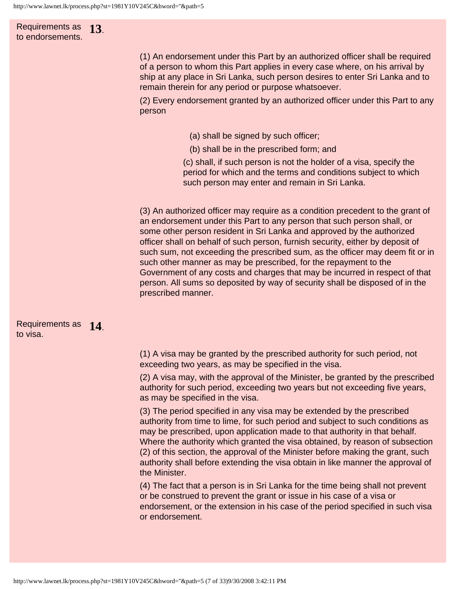## Requirements as **13**. to endorsements.

(1) An endorsement under this Part by an authorized officer shall be required of a person to whom this Part applies in every case where, on his arrival by ship at any place in Sri Lanka, such person desires to enter Sri Lanka and to remain therein for any period or purpose whatsoever.

(2) Every endorsement granted by an authorized officer under this Part to any person

- (a) shall be signed by such officer;
- (b) shall be in the prescribed form; and

(c) shall, if such person is not the holder of a visa, specify the period for which and the terms and conditions subject to which such person may enter and remain in Sri Lanka.

(3) An authorized officer may require as a condition precedent to the grant of an endorsement under this Part to any person that such person shall, or some other person resident in Sri Lanka and approved by the authorized officer shall on behalf of such person, furnish security, either by deposit of such sum, not exceeding the prescribed sum, as the officer may deem fit or in such other manner as may be prescribed, for the repayment to the Government of any costs and charges that may be incurred in respect of that person. All sums so deposited by way of security shall be disposed of in the prescribed manner.

#### Requirements as **14**. to visa.

(1) A visa may be granted by the prescribed authority for such period, not exceeding two years, as may be specified in the visa.

(2) A visa may, with the approval of the Minister, be granted by the prescribed authority for such period, exceeding two years but not exceeding five years, as may be specified in the visa.

(3) The period specified in any visa may be extended by the prescribed authority from time to lime, for such period and subject to such conditions as may be prescribed, upon application made to that authority in that behalf. Where the authority which granted the visa obtained, by reason of subsection (2) of this section, the approval of the Minister before making the grant, such authority shall before extending the visa obtain in like manner the approval of the Minister.

(4) The fact that a person is in Sri Lanka for the time being shall not prevent or be construed to prevent the grant or issue in his case of a visa or endorsement, or the extension in his case of the period specified in such visa or endorsement.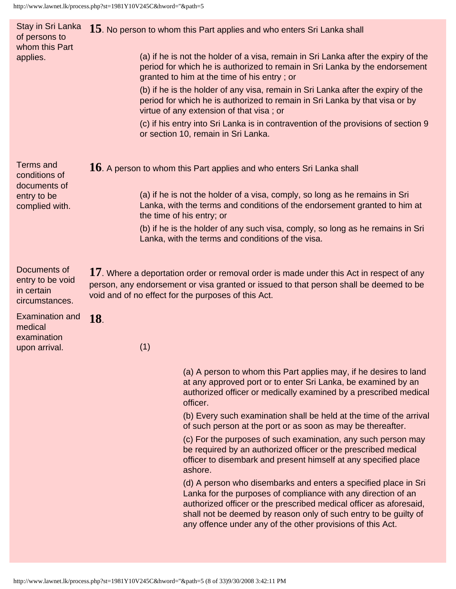| Stay in Sri Lanka<br>15. No person to whom this Part applies and who enters Sri Lanka shall |                                                                                                                                                                                                                                                                                                                                          |  |
|---------------------------------------------------------------------------------------------|------------------------------------------------------------------------------------------------------------------------------------------------------------------------------------------------------------------------------------------------------------------------------------------------------------------------------------------|--|
|                                                                                             | (a) if he is not the holder of a visa, remain in Sri Lanka after the expiry of the<br>period for which he is authorized to remain in Sri Lanka by the endorsement<br>granted to him at the time of his entry; or                                                                                                                         |  |
|                                                                                             | (b) if he is the holder of any visa, remain in Sri Lanka after the expiry of the<br>period for which he is authorized to remain in Sri Lanka by that visa or by<br>virtue of any extension of that visa; or                                                                                                                              |  |
|                                                                                             | (c) if his entry into Sri Lanka is in contravention of the provisions of section 9<br>or section 10, remain in Sri Lanka.                                                                                                                                                                                                                |  |
|                                                                                             | $16$ . A person to whom this Part applies and who enters Sri Lanka shall                                                                                                                                                                                                                                                                 |  |
|                                                                                             | (a) if he is not the holder of a visa, comply, so long as he remains in Sri<br>Lanka, with the terms and conditions of the endorsement granted to him at                                                                                                                                                                                 |  |
|                                                                                             | (b) if he is the holder of any such visa, comply, so long as he remains in Sri<br>Lanka, with the terms and conditions of the visa.                                                                                                                                                                                                      |  |
|                                                                                             | 17. Where a deportation order or removal order is made under this Act in respect of any<br>person, any endorsement or visa granted or issued to that person shall be deemed to be                                                                                                                                                        |  |
| <b>18</b> .<br>(1)                                                                          |                                                                                                                                                                                                                                                                                                                                          |  |
|                                                                                             | (a) A person to whom this Part applies may, if he desires to land<br>at any approved port or to enter Sri Lanka, be examined by an<br>authorized officer or medically examined by a prescribed medical<br>officer.                                                                                                                       |  |
|                                                                                             | (b) Every such examination shall be held at the time of the arrival<br>of such person at the port or as soon as may be thereafter.                                                                                                                                                                                                       |  |
|                                                                                             | (c) For the purposes of such examination, any such person may<br>be required by an authorized officer or the prescribed medical<br>officer to disembark and present himself at any specified place<br>ashore.                                                                                                                            |  |
|                                                                                             | (d) A person who disembarks and enters a specified place in Sri<br>Lanka for the purposes of compliance with any direction of an<br>authorized officer or the prescribed medical officer as aforesaid,<br>shall not be deemed by reason only of such entry to be guilty of<br>any offence under any of the other provisions of this Act. |  |
|                                                                                             | the time of his entry; or<br>void and of no effect for the purposes of this Act.                                                                                                                                                                                                                                                         |  |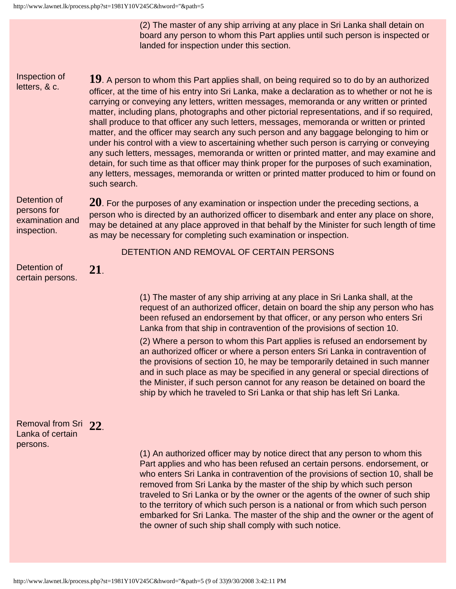(2) The master of any ship arriving at any place in Sri Lanka shall detain on board any person to whom this Part applies until such person is inspected or landed for inspection under this section.

Inspection of letters, & c.

**19**. A person to whom this Part applies shall, on being required so to do by an authorized officer, at the time of his entry into Sri Lanka, make a declaration as to whether or not he is carrying or conveying any letters, written messages, memoranda or any written or printed matter, including plans, photographs and other pictorial representations, and if so required, shall produce to that officer any such letters, messages, memoranda or written or printed matter, and the officer may search any such person and any baggage belonging to him or under his control with a view to ascertaining whether such person is carrying or conveying any such letters, messages, memoranda or written or printed matter, and may examine and detain, for such time as that officer may think proper for the purposes of such examination, any letters, messages, memoranda or written or printed matter produced to him or found on such search.

Detention of persons for examination and inspection.

**20**. For the purposes of any examination or inspection under the preceding sections, a person who is directed by an authorized officer to disembark and enter any place on shore, may be detained at any place approved in that behalf by the Minister for such length of time as may be necessary for completing such examination or inspection.

DETENTION AND REMOVAL OF CERTAIN PERSONS

Detention of certain persons. **21**.

> (1) The master of any ship arriving at any place in Sri Lanka shall, at the request of an authorized officer, detain on board the ship any person who has been refused an endorsement by that officer, or any person who enters Sri Lanka from that ship in contravention of the provisions of section 10.

(2) Where a person to whom this Part applies is refused an endorsement by an authorized officer or where a person enters Sri Lanka in contravention of the provisions of section 10, he may be temporarily detained in such manner and in such place as may be specified in any general or special directions of the Minister, if such person cannot for any reason be detained on board the ship by which he traveled to Sri Lanka or that ship has left Sri Lanka.

## Removal from Sri **22**. Lanka of certain persons.

(1) An authorized officer may by notice direct that any person to whom this Part applies and who has been refused an certain persons. endorsement, or who enters Sri Lanka in contravention of the provisions of section 10, shall be removed from Sri Lanka by the master of the ship by which such person traveled to Sri Lanka or by the owner or the agents of the owner of such ship to the territory of which such person is a national or from which such person embarked for Sri Lanka. The master of the ship and the owner or the agent of the owner of such ship shall comply with such notice.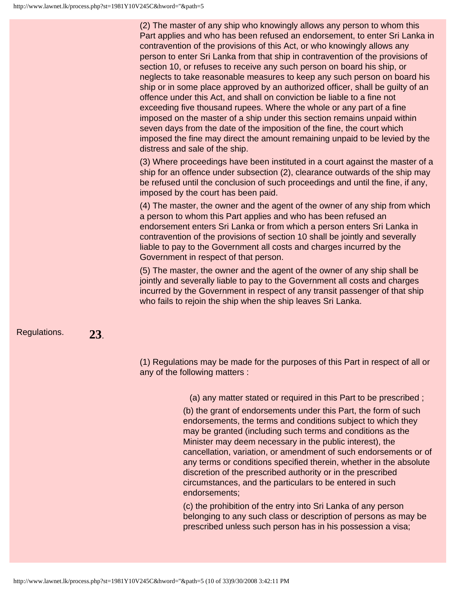(2) The master of any ship who knowingly allows any person to whom this Part applies and who has been refused an endorsement, to enter Sri Lanka in contravention of the provisions of this Act, or who knowingly allows any person to enter Sri Lanka from that ship in contravention of the provisions of section 10, or refuses to receive any such person on board his ship, or neglects to take reasonable measures to keep any such person on board his ship or in some place approved by an authorized officer, shall be guilty of an offence under this Act, and shall on conviction be liable to a fine not exceeding five thousand rupees. Where the whole or any part of a fine imposed on the master of a ship under this section remains unpaid within seven days from the date of the imposition of the fine, the court which imposed the fine may direct the amount remaining unpaid to be levied by the distress and sale of the ship.

(3) Where proceedings have been instituted in a court against the master of a ship for an offence under subsection (2), clearance outwards of the ship may be refused until the conclusion of such proceedings and until the fine, if any, imposed by the court has been paid.

(4) The master, the owner and the agent of the owner of any ship from which a person to whom this Part applies and who has been refused an endorsement enters Sri Lanka or from which a person enters Sri Lanka in contravention of the provisions of section 10 shall be jointly and severally liable to pay to the Government all costs and charges incurred by the Government in respect of that person.

(5) The master, the owner and the agent of the owner of any ship shall be jointly and severally liable to pay to the Government all costs and charges incurred by the Government in respect of any transit passenger of that ship who fails to rejoin the ship when the ship leaves Sri Lanka.

## Regulations. **23**.

(1) Regulations may be made for the purposes of this Part in respect of all or any of the following matters :

(a) any matter stated or required in this Part to be prescribed ;

(b) the grant of endorsements under this Part, the form of such endorsements, the terms and conditions subject to which they may be granted (including such terms and conditions as the Minister may deem necessary in the public interest), the cancellation, variation, or amendment of such endorsements or of any terms or conditions specified therein, whether in the absolute discretion of the prescribed authority or in the prescribed circumstances, and the particulars to be entered in such endorsements;

(c) the prohibition of the entry into Sri Lanka of any person belonging to any such class or description of persons as may be prescribed unless such person has in his possession a visa;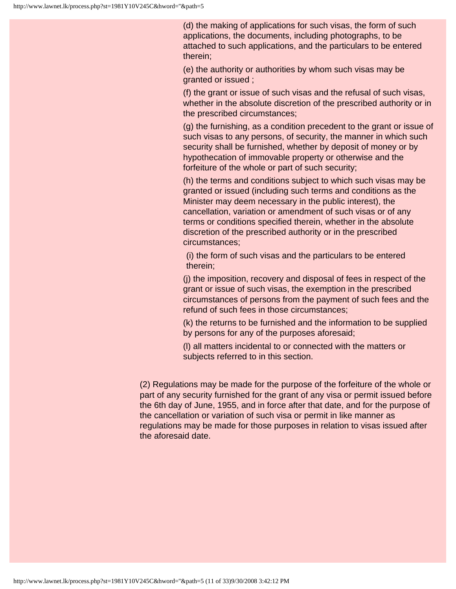(d) the making of applications for such visas, the form of such applications, the documents, including photographs, to be attached to such applications, and the particulars to be entered therein;

(e) the authority or authorities by whom such visas may be granted or issued ;

(f) the grant or issue of such visas and the refusal of such visas, whether in the absolute discretion of the prescribed authority or in the prescribed circumstances;

(g) the furnishing, as a condition precedent to the grant or issue of such visas to any persons, of security, the manner in which such security shall be furnished, whether by deposit of money or by hypothecation of immovable property or otherwise and the forfeiture of the whole or part of such security;

(h) the terms and conditions subject to which such visas may be granted or issued (including such terms and conditions as the Minister may deem necessary in the public interest), the cancellation, variation or amendment of such visas or of any terms or conditions specified therein, whether in the absolute discretion of the prescribed authority or in the prescribed circumstances;

(i) the form of such visas and the particulars to be entered therein;

(j) the imposition, recovery and disposal of fees in respect of the grant or issue of such visas, the exemption in the prescribed circumstances of persons from the payment of such fees and the refund of such fees in those circumstances;

(k) the returns to be furnished and the information to be supplied by persons for any of the purposes aforesaid;

(l) all matters incidental to or connected with the matters or subjects referred to in this section.

(2) Regulations may be made for the purpose of the forfeiture of the whole or part of any security furnished for the grant of any visa or permit issued before the 6th day of June, 1955, and in force after that date, and for the purpose of the cancellation or variation of such visa or permit in like manner as regulations may be made for those purposes in relation to visas issued after the aforesaid date.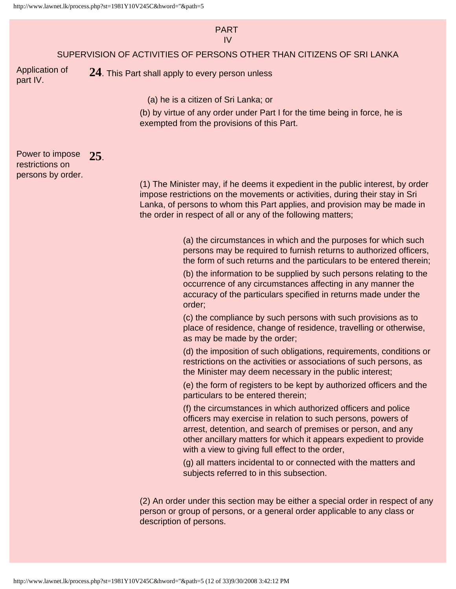#### PART IV

#### SUPERVISION OF ACTIVITIES OF PERSONS OTHER THAN CITIZENS OF SRI LANKA

Application of part IV.

**24**. This Part shall apply to every person unless

(a) he is a citizen of Sri Lanka; or

(b) by virtue of any order under Part I for the time being in force, he is exempted from the provisions of this Part.

Power to impose restrictions on persons by order. **25**.

(1) The Minister may, if he deems it expedient in the public interest, by order impose restrictions on the movements or activities, during their stay in Sri Lanka, of persons to whom this Part applies, and provision may be made in the order in respect of all or any of the following matters;

> (a) the circumstances in which and the purposes for which such persons may be required to furnish returns to authorized officers, the form of such returns and the particulars to be entered therein;

> (b) the information to be supplied by such persons relating to the occurrence of any circumstances affecting in any manner the accuracy of the particulars specified in returns made under the order;

> (c) the compliance by such persons with such provisions as to place of residence, change of residence, travelling or otherwise, as may be made by the order;

(d) the imposition of such obligations, requirements, conditions or restrictions on the activities or associations of such persons, as the Minister may deem necessary in the public interest;

(e) the form of registers to be kept by authorized officers and the particulars to be entered therein;

(f) the circumstances in which authorized officers and police officers may exercise in relation to such persons, powers of arrest, detention, and search of premises or person, and any other ancillary matters for which it appears expedient to provide with a view to giving full effect to the order,

(g) all matters incidental to or connected with the matters and subjects referred to in this subsection.

(2) An order under this section may be either a special order in respect of any person or group of persons, or a general order applicable to any class or description of persons.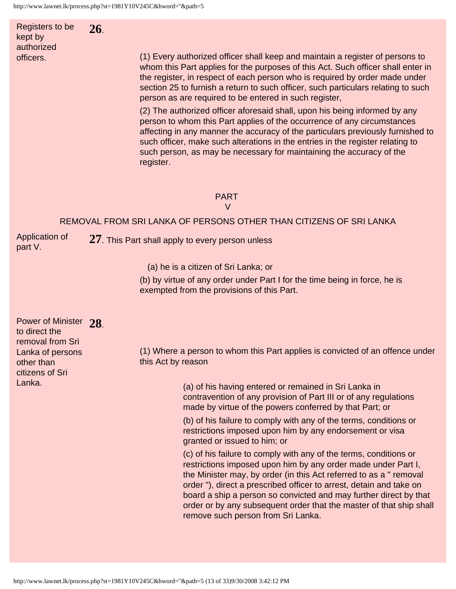Registers to be kept by authorized officers. **26**.

(1) Every authorized officer shall keep and maintain a register of persons to whom this Part applies for the purposes of this Act. Such officer shall enter in the register, in respect of each person who is required by order made under section 25 to furnish a return to such officer, such particulars relating to such person as are required to be entered in such register,

(2) The authorized officer aforesaid shall, upon his being informed by any person to whom this Part applies of the occurrence of any circumstances affecting in any manner the accuracy of the particulars previously furnished to such officer, make such alterations in the entries in the register relating to such person, as may be necessary for maintaining the accuracy of the register.

#### PART

V

#### REMOVAL FROM SRI LANKA OF PERSONS OTHER THAN CITIZENS OF SRI LANKA

Application of part V.

**27**. This Part shall apply to every person unless

(a) he is a citizen of Sri Lanka; or

(b) by virtue of any order under Part I for the time being in force, he is exempted from the provisions of this Part.

| Power of Minister 28<br>to direct the<br>removal from Sri   |                                                                                                                                                                                                                                                                                                                                                                                                                                                                  |
|-------------------------------------------------------------|------------------------------------------------------------------------------------------------------------------------------------------------------------------------------------------------------------------------------------------------------------------------------------------------------------------------------------------------------------------------------------------------------------------------------------------------------------------|
| Lanka of persons<br>other than<br>citizens of Sri<br>Lanka. | (1) Where a person to whom this Part applies is convicted of an offence under<br>this Act by reason                                                                                                                                                                                                                                                                                                                                                              |
|                                                             | (a) of his having entered or remained in Sri Lanka in<br>contravention of any provision of Part III or of any regulations<br>made by virtue of the powers conferred by that Part; or                                                                                                                                                                                                                                                                             |
|                                                             | (b) of his failure to comply with any of the terms, conditions or<br>restrictions imposed upon him by any endorsement or visa<br>granted or issued to him; or                                                                                                                                                                                                                                                                                                    |
|                                                             | (c) of his failure to comply with any of the terms, conditions or<br>restrictions imposed upon him by any order made under Part I,<br>the Minister may, by order (in this Act referred to as a " removal<br>order"), direct a prescribed officer to arrest, detain and take on<br>board a ship a person so convicted and may further direct by that<br>order or by any subsequent order that the master of that ship shall<br>remove such person from Sri Lanka. |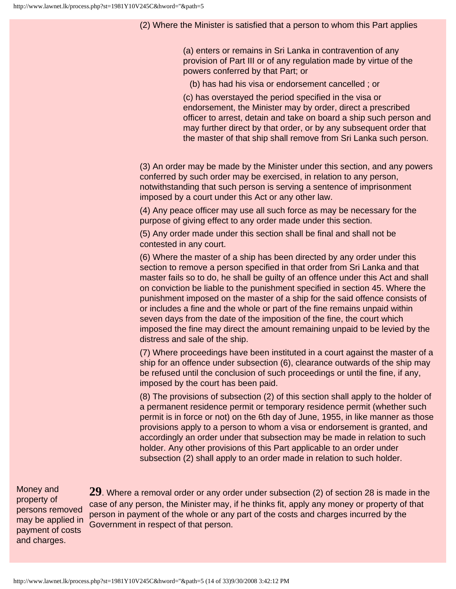(2) Where the Minister is satisfied that a person to whom this Part applies

(a) enters or remains in Sri Lanka in contravention of any provision of Part III or of any regulation made by virtue of the powers conferred by that Part; or

(b) has had his visa or endorsement cancelled ; or

(c) has overstayed the period specified in the visa or endorsement, the Minister may by order, direct a prescribed officer to arrest, detain and take on board a ship such person and may further direct by that order, or by any subsequent order that the master of that ship shall remove from Sri Lanka such person.

(3) An order may be made by the Minister under this section, and any powers conferred by such order may be exercised, in relation to any person, notwithstanding that such person is serving a sentence of imprisonment imposed by a court under this Act or any other law.

(4) Any peace officer may use all such force as may be necessary for the purpose of giving effect to any order made under this section.

(5) Any order made under this section shall be final and shall not be contested in any court.

(6) Where the master of a ship has been directed by any order under this section to remove a person specified in that order from Sri Lanka and that master fails so to do, he shall be guilty of an offence under this Act and shall on conviction be liable to the punishment specified in section 45. Where the punishment imposed on the master of a ship for the said offence consists of or includes a fine and the whole or part of the fine remains unpaid within seven days from the date of the imposition of the fine, the court which imposed the fine may direct the amount remaining unpaid to be levied by the distress and sale of the ship.

(7) Where proceedings have been instituted in a court against the master of a ship for an offence under subsection (6), clearance outwards of the ship may be refused until the conclusion of such proceedings or until the fine, if any, imposed by the court has been paid.

(8) The provisions of subsection (2) of this section shall apply to the holder of a permanent residence permit or temporary residence permit (whether such permit is in force or not) on the 6th day of June, 1955, in like manner as those provisions apply to a person to whom a visa or endorsement is granted, and accordingly an order under that subsection may be made in relation to such holder. Any other provisions of this Part applicable to an order under subsection (2) shall apply to an order made in relation to such holder.

Money and property of persons removed may be applied in payment of costs and charges.

**29**. Where a removal order or any order under subsection (2) of section 28 is made in the case of any person, the Minister may, if he thinks fit, apply any money or property of that person in payment of the whole or any part of the costs and charges incurred by the Government in respect of that person.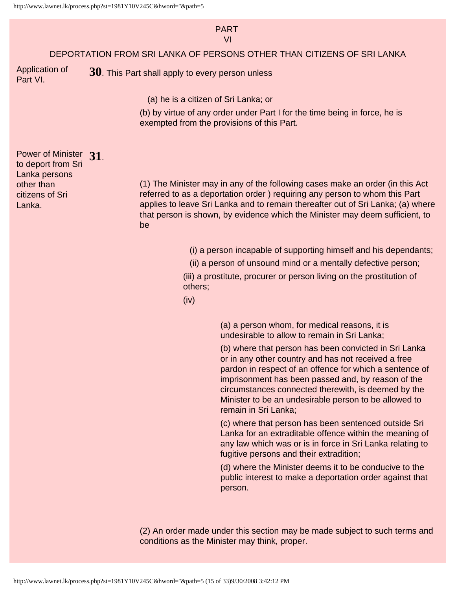#### PART VI

#### DEPORTATION FROM SRI LANKA OF PERSONS OTHER THAN CITIZENS OF SRI LANKA

Application of Part VI.

**30**. This Part shall apply to every person unless

(a) he is a citizen of Sri Lanka; or

(b) by virtue of any order under Part I for the time being in force, he is exempted from the provisions of this Part.

Power of Minister **31**. to deport from Sri Lanka persons other than citizens of Sri Lanka.

(1) The Minister may in any of the following cases make an order (in this Act referred to as a deportation order ) requiring any person to whom this Part applies to leave Sri Lanka and to remain thereafter out of Sri Lanka; (a) where that person is shown, by evidence which the Minister may deem sufficient, to be

(i) a person incapable of supporting himself and his dependants;

(ii) a person of unsound mind or a mentally defective person;

(iii) a prostitute, procurer or person living on the prostitution of others;

(iv)

(a) a person whom, for medical reasons, it is undesirable to allow to remain in Sri Lanka;

(b) where that person has been convicted in Sri Lanka or in any other country and has not received a free pardon in respect of an offence for which a sentence of imprisonment has been passed and, by reason of the circumstances connected therewith, is deemed by the Minister to be an undesirable person to be allowed to remain in Sri Lanka;

(c) where that person has been sentenced outside Sri Lanka for an extraditable offence within the meaning of any law which was or is in force in Sri Lanka relating to fugitive persons and their extradition;

(d) where the Minister deems it to be conducive to the public interest to make a deportation order against that person.

(2) An order made under this section may be made subject to such terms and conditions as the Minister may think, proper.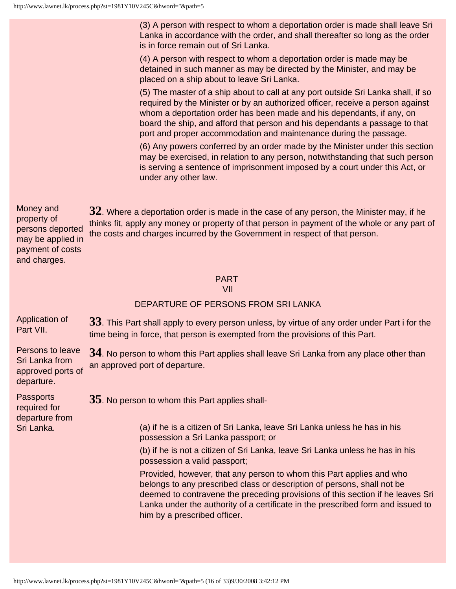(3) A person with respect to whom a deportation order is made shall leave Sri Lanka in accordance with the order, and shall thereafter so long as the order is in force remain out of Sri Lanka.

(4) A person with respect to whom a deportation order is made may be detained in such manner as may be directed by the Minister, and may be placed on a ship about to leave Sri Lanka.

(5) The master of a ship about to call at any port outside Sri Lanka shall, if so required by the Minister or by an authorized officer, receive a person against whom a deportation order has been made and his dependants, if any, on board the ship, and afford that person and his dependants a passage to that port and proper accommodation and maintenance during the passage.

(6) Any powers conferred by an order made by the Minister under this section may be exercised, in relation to any person, notwithstanding that such person is serving a sentence of imprisonment imposed by a court under this Act, or under any other law.

Money and property of persons deported may be applied in payment of costs and charges. **32**. Where a deportation order is made in the case of any person, the Minister may, if he thinks fit, apply any money or property of that person in payment of the whole or any part of the costs and charges incurred by the Government in respect of that person.

## PART

VII

## DEPARTURE OF PERSONS FROM SRI LANKA

| 33. This Part shall apply to every person unless, by virtue of any order under Part i for the<br>time being in force, that person is exempted from the provisions of this Part.                                                                                                                                                                      |  |  |
|------------------------------------------------------------------------------------------------------------------------------------------------------------------------------------------------------------------------------------------------------------------------------------------------------------------------------------------------------|--|--|
| 34. No person to whom this Part applies shall leave Sri Lanka from any place other than<br>an approved port of departure.<br>approved ports of                                                                                                                                                                                                       |  |  |
| 35. No person to whom this Part applies shall-<br>(a) if he is a citizen of Sri Lanka, leave Sri Lanka unless he has in his<br>possession a Sri Lanka passport; or                                                                                                                                                                                   |  |  |
| (b) if he is not a citizen of Sri Lanka, leave Sri Lanka unless he has in his<br>possession a valid passport;                                                                                                                                                                                                                                        |  |  |
| Provided, however, that any person to whom this Part applies and who<br>belongs to any prescribed class or description of persons, shall not be<br>deemed to contravene the preceding provisions of this section if he leaves Sri<br>Lanka under the authority of a certificate in the prescribed form and issued to<br>him by a prescribed officer. |  |  |
|                                                                                                                                                                                                                                                                                                                                                      |  |  |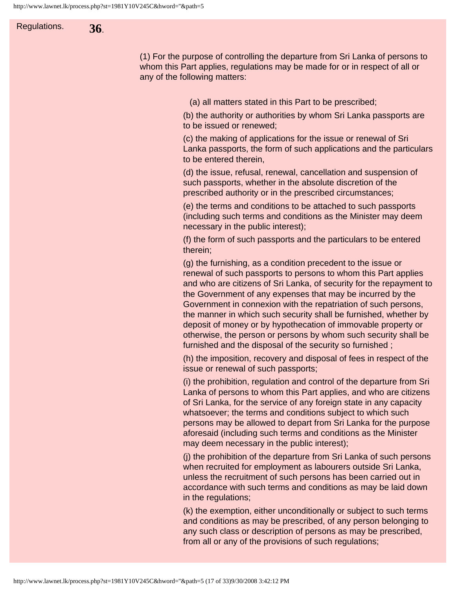Regulations. **36**.

(1) For the purpose of controlling the departure from Sri Lanka of persons to whom this Part applies, regulations may be made for or in respect of all or any of the following matters:

(a) all matters stated in this Part to be prescribed;

(b) the authority or authorities by whom Sri Lanka passports are to be issued or renewed;

(c) the making of applications for the issue or renewal of Sri Lanka passports, the form of such applications and the particulars to be entered therein,

(d) the issue, refusal, renewal, cancellation and suspension of such passports, whether in the absolute discretion of the prescribed authority or in the prescribed circumstances;

(e) the terms and conditions to be attached to such passports (including such terms and conditions as the Minister may deem necessary in the public interest);

(f) the form of such passports and the particulars to be entered therein;

(g) the furnishing, as a condition precedent to the issue or renewal of such passports to persons to whom this Part applies and who are citizens of Sri Lanka, of security for the repayment to the Government of any expenses that may be incurred by the Government in connexion with the repatriation of such persons, the manner in which such security shall be furnished, whether by deposit of money or by hypothecation of immovable property or otherwise, the person or persons by whom such security shall be furnished and the disposal of the security so furnished ;

(h) the imposition, recovery and disposal of fees in respect of the issue or renewal of such passports;

(i) the prohibition, regulation and control of the departure from Sri Lanka of persons to whom this Part applies, and who are citizens of Sri Lanka, for the service of any foreign state in any capacity whatsoever; the terms and conditions subject to which such persons may be allowed to depart from Sri Lanka for the purpose aforesaid (including such terms and conditions as the Minister may deem necessary in the public interest);

(j) the prohibition of the departure from Sri Lanka of such persons when recruited for employment as labourers outside Sri Lanka, unless the recruitment of such persons has been carried out in accordance with such terms and conditions as may be laid down in the regulations;

(k) the exemption, either unconditionally or subject to such terms and conditions as may be prescribed, of any person belonging to any such class or description of persons as may be prescribed, from all or any of the provisions of such regulations;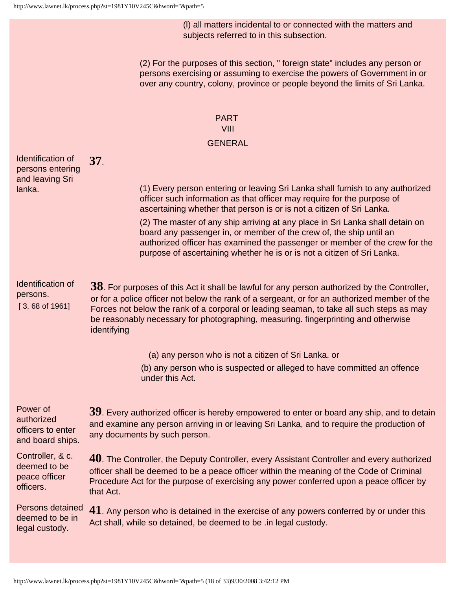(l) all matters incidental to or connected with the matters and subjects referred to in this subsection.

(2) For the purposes of this section, " foreign state" includes any person or persons exercising or assuming to exercise the powers of Government in or over any country, colony, province or people beyond the limits of Sri Lanka.

## PART VIII **GENERAL**

Identification of persons entering and leaving Sri lanka. **37**.

(1) Every person entering or leaving Sri Lanka shall furnish to any authorized officer such information as that officer may require for the purpose of ascertaining whether that person is or is not a citizen of Sri Lanka.

(2) The master of any ship arriving at any place in Sri Lanka shall detain on board any passenger in, or member of the crew of, the ship until an authorized officer has examined the passenger or member of the crew for the purpose of ascertaining whether he is or is not a citizen of Sri Lanka.

Identification of persons. [ 3, 68 of 1961]

legal custody.

**38**. For purposes of this Act it shall be lawful for any person authorized by the Controller, or for a police officer not below the rank of a sergeant, or for an authorized member of the Forces not below the rank of a corporal or leading seaman, to take all such steps as may be reasonably necessary for photographing, measuring. fingerprinting and otherwise identifying

(a) any person who is not a citizen of Sri Lanka. or

(b) any person who is suspected or alleged to have committed an offence under this Act.

Power of authorized officers to enter and board ships. **39**. Every authorized officer is hereby empowered to enter or board any ship, and to detain and examine any person arriving in or leaving Sri Lanka, and to require the production of any documents by such person. Controller, & c. deemed to be peace officer officers. **40**. The Controller, the Deputy Controller, every Assistant Controller and every authorized officer shall be deemed to be a peace officer within the meaning of the Code of Criminal Procedure Act for the purpose of exercising any power conferred upon a peace officer by that Act. Persons detained deemed to be in **41**. Any person who is detained in the exercise of any powers conferred by or under this Act shall, while so detained, be deemed to be .in legal custody.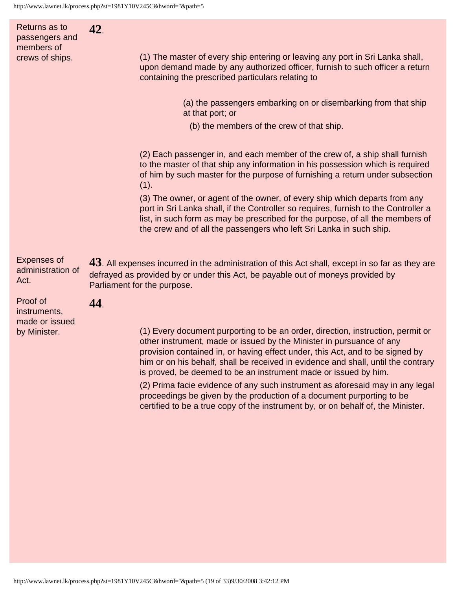Returns as to passengers and members of crews of ships. **42**. (1) The master of every ship entering or leaving any port in Sri Lanka shall, upon demand made by any authorized officer, furnish to such officer a return containing the prescribed particulars relating to (a) the passengers embarking on or disembarking from that ship at that port; or (b) the members of the crew of that ship. (2) Each passenger in, and each member of the crew of, a ship shall furnish to the master of that ship any information in his possession which is required of him by such master for the purpose of furnishing a return under subsection  $(1).$ (3) The owner, or agent of the owner, of every ship which departs from any port in Sri Lanka shall, if the Controller so requires, furnish to the Controller a list, in such form as may be prescribed for the purpose, of all the members of the crew and of all the passengers who left Sri Lanka in such ship. Expenses of administration of Act. **43**. All expenses incurred in the administration of this Act shall, except in so far as they are defrayed as provided by or under this Act, be payable out of moneys provided by Parliament for the purpose. Proof of instruments, made or issued by Minister. **44**. (1) Every document purporting to be an order, direction, instruction, permit or other instrument, made or issued by the Minister in pursuance of any provision contained in, or having effect under, this Act, and to be signed by him or on his behalf, shall be received in evidence and shall, until the contrary is proved, be deemed to be an instrument made or issued by him.

(2) Prima facie evidence of any such instrument as aforesaid may in any legal proceedings be given by the production of a document purporting to be certified to be a true copy of the instrument by, or on behalf of, the Minister.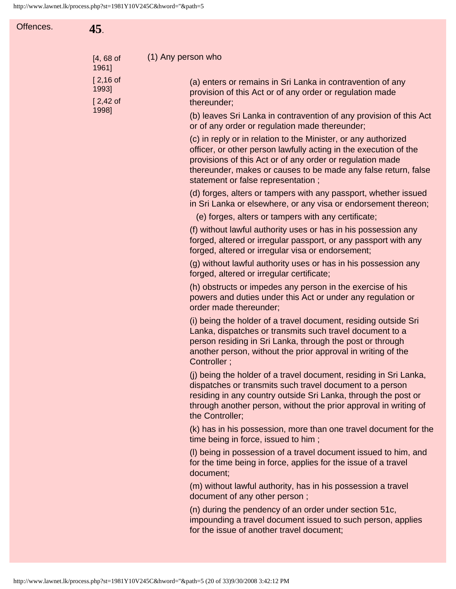| Offences. | 45.                               |                                                                                                                                                                                                                                                                                                         |
|-----------|-----------------------------------|---------------------------------------------------------------------------------------------------------------------------------------------------------------------------------------------------------------------------------------------------------------------------------------------------------|
|           | $[4, 68$ of<br>1961]              | (1) Any person who                                                                                                                                                                                                                                                                                      |
|           | $[2,16$ of<br>1993]<br>$[2,42$ of | (a) enters or remains in Sri Lanka in contravention of any<br>provision of this Act or of any order or regulation made<br>thereunder;                                                                                                                                                                   |
|           | 1998]                             | (b) leaves Sri Lanka in contravention of any provision of this Act<br>or of any order or regulation made thereunder;                                                                                                                                                                                    |
|           |                                   | (c) in reply or in relation to the Minister, or any authorized<br>officer, or other person lawfully acting in the execution of the<br>provisions of this Act or of any order or regulation made<br>thereunder, makes or causes to be made any false return, false<br>statement or false representation; |
|           |                                   | (d) forges, alters or tampers with any passport, whether issued<br>in Sri Lanka or elsewhere, or any visa or endorsement thereon;                                                                                                                                                                       |
|           |                                   | (e) forges, alters or tampers with any certificate;                                                                                                                                                                                                                                                     |
|           |                                   | (f) without lawful authority uses or has in his possession any<br>forged, altered or irregular passport, or any passport with any<br>forged, altered or irregular visa or endorsement;                                                                                                                  |
|           |                                   | (g) without lawful authority uses or has in his possession any<br>forged, altered or irregular certificate;                                                                                                                                                                                             |
|           |                                   | (h) obstructs or impedes any person in the exercise of his<br>powers and duties under this Act or under any regulation or<br>order made thereunder;                                                                                                                                                     |
|           |                                   | (i) being the holder of a travel document, residing outside Sri<br>Lanka, dispatches or transmits such travel document to a<br>person residing in Sri Lanka, through the post or through<br>another person, without the prior approval in writing of the<br>Controller;                                 |
|           |                                   | (j) being the holder of a travel document, residing in Sri Lanka,<br>dispatches or transmits such travel document to a person<br>residing in any country outside Sri Lanka, through the post or<br>through another person, without the prior approval in writing of<br>the Controller;                  |
|           |                                   | (k) has in his possession, more than one travel document for the<br>time being in force, issued to him;                                                                                                                                                                                                 |
|           |                                   | (I) being in possession of a travel document issued to him, and<br>for the time being in force, applies for the issue of a travel<br>document;                                                                                                                                                          |
|           |                                   | (m) without lawful authority, has in his possession a travel<br>document of any other person;                                                                                                                                                                                                           |
|           |                                   | (n) during the pendency of an order under section 51c,<br>impounding a travel document issued to such person, applies<br>for the issue of another travel document;                                                                                                                                      |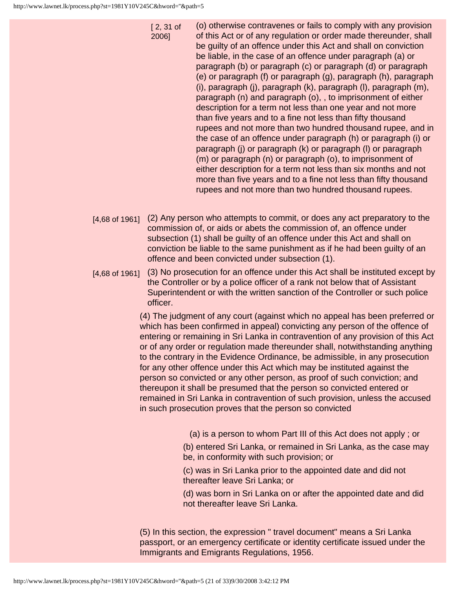2006]

[ 2, 31 of (o) otherwise contravenes or fails to comply with any provision of this Act or of any regulation or order made thereunder, shall be guilty of an offence under this Act and shall on conviction be liable, in the case of an offence under paragraph (a) or paragraph (b) or paragraph (c) or paragraph (d) or paragraph (e) or paragraph (f) or paragraph (g), paragraph (h), paragraph (i), paragraph (j), paragraph (k), paragraph (l), paragraph (m), paragraph (n) and paragraph (o), , to imprisonment of either description for a term not less than one year and not more than five years and to a fine not less than fifty thousand rupees and not more than two hundred thousand rupee, and in the case of an offence under paragraph (h) or paragraph (i) or paragraph (j) or paragraph (k) or paragraph (l) or paragraph (m) or paragraph (n) or paragraph (o), to imprisonment of either description for a term not less than six months and not more than five years and to a fine not less than fifty thousand rupees and not more than two hundred thousand rupees.

- [4,68 of 1961] (2) Any person who attempts to commit, or does any act preparatory to the commission of, or aids or abets the commission of, an offence under subsection (1) shall be guilty of an offence under this Act and shall on conviction be liable to the same punishment as if he had been guilty of an offence and been convicted under subsection (1).
- [4,68 of 1961] (3) No prosecution for an offence under this Act shall be instituted except by the Controller or by a police officer of a rank not below that of Assistant Superintendent or with the written sanction of the Controller or such police officer.

(4) The judgment of any court (against which no appeal has been preferred or which has been confirmed in appeal) convicting any person of the offence of entering or remaining in Sri Lanka in contravention of any provision of this Act or of any order or regulation made thereunder shall, notwithstanding anything to the contrary in the Evidence Ordinance, be admissible, in any prosecution for any other offence under this Act which may be instituted against the person so convicted or any other person, as proof of such conviction; and thereupon it shall be presumed that the person so convicted entered or remained in Sri Lanka in contravention of such provision, unless the accused in such prosecution proves that the person so convicted

- (a) is a person to whom Part III of this Act does not apply ; or
- (b) entered Sri Lanka, or remained in Sri Lanka, as the case may be, in conformity with such provision; or
- (c) was in Sri Lanka prior to the appointed date and did not thereafter leave Sri Lanka; or
- (d) was born in Sri Lanka on or after the appointed date and did not thereafter leave Sri Lanka.

(5) In this section, the expression " travel document" means a Sri Lanka passport, or an emergency certificate or identity certificate issued under the Immigrants and Emigrants Regulations, 1956.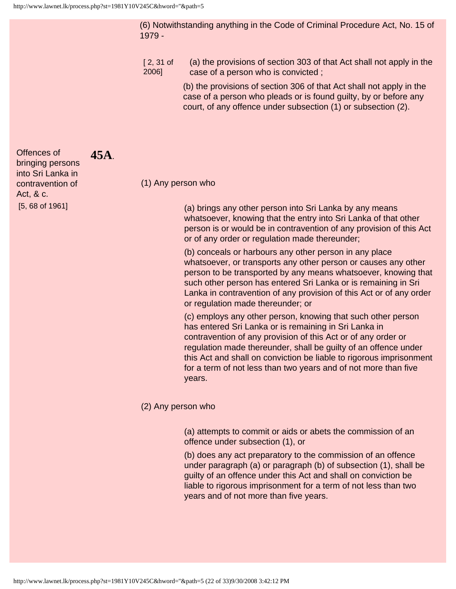**45A**.

(6) Notwithstanding anything in the Code of Criminal Procedure Act, No. 15 of 1979 -

[ 2, 31 of 2006] (a) the provisions of section 303 of that Act shall not apply in the case of a person who is convicted ;

> (b) the provisions of section 306 of that Act shall not apply in the case of a person who pleads or is found guilty, by or before any court, of any offence under subsection (1) or subsection (2).

#### (1) Any person who

(a) brings any other person into Sri Lanka by any means whatsoever, knowing that the entry into Sri Lanka of that other person is or would be in contravention of any provision of this Act or of any order or regulation made thereunder;

(b) conceals or harbours any other person in any place whatsoever, or transports any other person or causes any other person to be transported by any means whatsoever, knowing that such other person has entered Sri Lanka or is remaining in Sri Lanka in contravention of any provision of this Act or of any order or regulation made thereunder; or

(c) employs any other person, knowing that such other person has entered Sri Lanka or is remaining in Sri Lanka in contravention of any provision of this Act or of any order or regulation made thereunder, shall be guilty of an offence under this Act and shall on conviction be liable to rigorous imprisonment for a term of not less than two years and of not more than five years.

#### (2) Any person who

(a) attempts to commit or aids or abets the commission of an offence under subsection (1), or

(b) does any act preparatory to the commission of an offence under paragraph (a) or paragraph (b) of subsection (1), shall be guilty of an offence under this Act and shall on conviction be liable to rigorous imprisonment for a term of not less than two years and of not more than five years.

Offences of bringing persons into Sri Lanka in contravention of Act, & c. [5, 68 of 1961]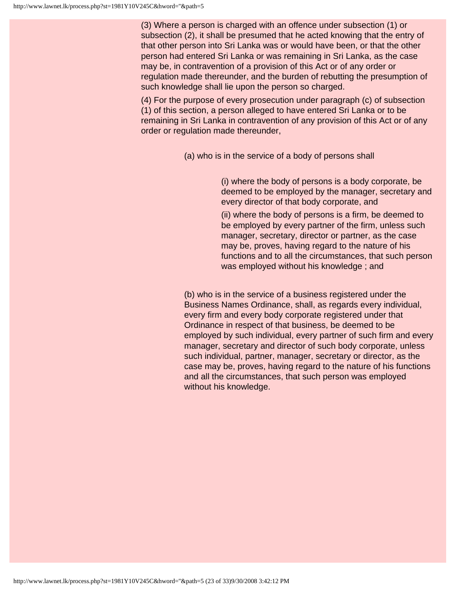(3) Where a person is charged with an offence under subsection (1) or subsection (2), it shall be presumed that he acted knowing that the entry of that other person into Sri Lanka was or would have been, or that the other person had entered Sri Lanka or was remaining in Sri Lanka, as the case may be, in contravention of a provision of this Act or of any order or regulation made thereunder, and the burden of rebutting the presumption of such knowledge shall lie upon the person so charged.

(4) For the purpose of every prosecution under paragraph (c) of subsection (1) of this section, a person alleged to have entered Sri Lanka or to be remaining in Sri Lanka in contravention of any provision of this Act or of any order or regulation made thereunder,

(a) who is in the service of a body of persons shall

(i) where the body of persons is a body corporate, be deemed to be employed by the manager, secretary and every director of that body corporate, and

(ii) where the body of persons is a firm, be deemed to be employed by every partner of the firm, unless such manager, secretary, director or partner, as the case may be, proves, having regard to the nature of his functions and to all the circumstances, that such person was employed without his knowledge ; and

(b) who is in the service of a business registered under the Business Names Ordinance, shall, as regards every individual, every firm and every body corporate registered under that Ordinance in respect of that business, be deemed to be employed by such individual, every partner of such firm and every manager, secretary and director of such body corporate, unless such individual, partner, manager, secretary or director, as the case may be, proves, having regard to the nature of his functions and all the circumstances, that such person was employed without his knowledge.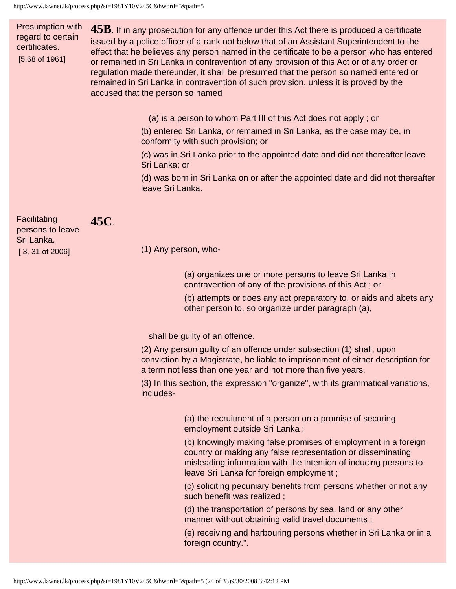Presumption with regard to certain certificates. [5,68 of 1961]

**45B**. If in any prosecution for any offence under this Act there is produced a certificate issued by a police officer of a rank not below that of an Assistant Superintendent to the effect that he believes any person named in the certificate to be a person who has entered or remained in Sri Lanka in contravention of any provision of this Act or of any order or regulation made thereunder, it shall be presumed that the person so named entered or remained in Sri Lanka in contravention of such provision, unless it is proved by the accused that the person so named

(a) is a person to whom Part III of this Act does not apply ; or

(b) entered Sri Lanka, or remained in Sri Lanka, as the case may be, in conformity with such provision; or

(c) was in Sri Lanka prior to the appointed date and did not thereafter leave Sri Lanka; or

(d) was born in Sri Lanka on or after the appointed date and did not thereafter leave Sri Lanka.

Facilitating persons to leave Sri Lanka. [ 3, 31 of 2006]

# **45C**.

(1) Any person, who-

(a) organizes one or more persons to leave Sri Lanka in contravention of any of the provisions of this Act ; or

(b) attempts or does any act preparatory to, or aids and abets any other person to, so organize under paragraph (a),

shall be guilty of an offence.

(2) Any person guilty of an offence under subsection (1) shall, upon conviction by a Magistrate, be liable to imprisonment of either description for a term not less than one year and not more than five years.

(3) In this section, the expression "organize", with its grammatical variations, includes-

> (a) the recruitment of a person on a promise of securing employment outside Sri Lanka ;

(b) knowingly making false promises of employment in a foreign country or making any false representation or disseminating misleading information with the intention of inducing persons to leave Sri Lanka for foreign employment ;

(c) soliciting pecuniary benefits from persons whether or not any such benefit was realized ;

(d) the transportation of persons by sea, land or any other manner without obtaining valid travel documents ;

(e) receiving and harbouring persons whether in Sri Lanka or in a foreign country.".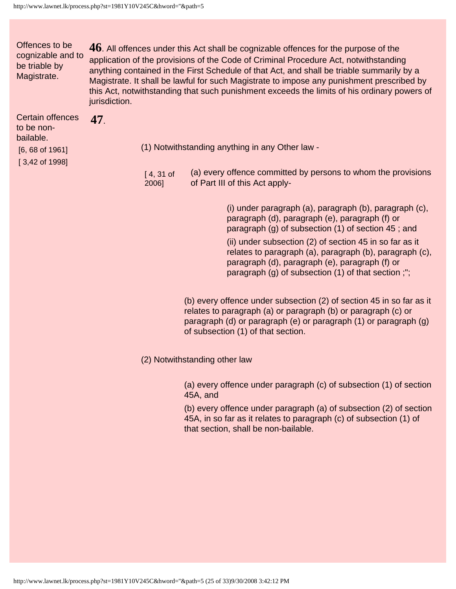Certain offences

Offences to be cognizable and to be triable by Magistrate. **46**. All offences under this Act shall be cognizable offences for the purpose of the application of the provisions of the Code of Criminal Procedure Act, notwithstanding anything contained in the First Schedule of that Act, and shall be triable summarily by a Magistrate. It shall be lawful for such Magistrate to impose any punishment prescribed by this Act, notwithstanding that such punishment exceeds the limits of his ordinary powers of jurisdiction.

| Certain offences<br>to be non-<br>bailable.<br>$[6, 68$ of 1961] | (1) Notwithstanding anything in any Other law -                                                                          |  |
|------------------------------------------------------------------|--------------------------------------------------------------------------------------------------------------------------|--|
| [3,42 of 1998]                                                   | (a) every offence committed by persons to whom the provisions<br>$[4, 31]$ of<br>of Part III of this Act apply-<br>2006] |  |

(i) under paragraph (a), paragraph (b), paragraph (c), paragraph (d), paragraph (e), paragraph (f) or paragraph (g) of subsection (1) of section 45 ; and

(ii) under subsection (2) of section 45 in so far as it relates to paragraph (a), paragraph (b), paragraph (c), paragraph (d), paragraph (e), paragraph (f) or paragraph (g) of subsection (1) of that section ;";

(b) every offence under subsection (2) of section 45 in so far as it relates to paragraph (a) or paragraph (b) or paragraph (c) or paragraph (d) or paragraph (e) or paragraph (1) or paragraph (g) of subsection (1) of that section.

(2) Notwithstanding other law

(a) every offence under paragraph (c) of subsection (1) of section 45A, and

(b) every offence under paragraph (a) of subsection (2) of section 45A, in so far as it relates to paragraph (c) of subsection (1) of that section, shall be non-bailable.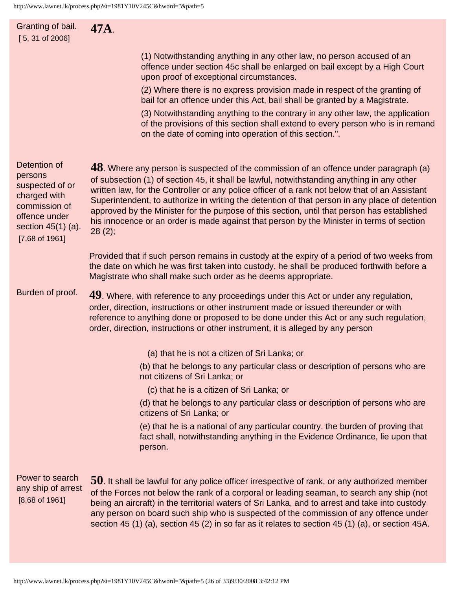| Granting of bail.<br>$[5, 31$ of 2006]                                                                                                   | 47A.                                                                                                                                                                                                                                                                                                                                                                                                                                                                                                                                                                                             |
|------------------------------------------------------------------------------------------------------------------------------------------|--------------------------------------------------------------------------------------------------------------------------------------------------------------------------------------------------------------------------------------------------------------------------------------------------------------------------------------------------------------------------------------------------------------------------------------------------------------------------------------------------------------------------------------------------------------------------------------------------|
|                                                                                                                                          | (1) Notwithstanding anything in any other law, no person accused of an<br>offence under section 45c shall be enlarged on bail except by a High Court<br>upon proof of exceptional circumstances.                                                                                                                                                                                                                                                                                                                                                                                                 |
|                                                                                                                                          | (2) Where there is no express provision made in respect of the granting of<br>bail for an offence under this Act, bail shall be granted by a Magistrate.                                                                                                                                                                                                                                                                                                                                                                                                                                         |
|                                                                                                                                          | (3) Notwithstanding anything to the contrary in any other law, the application<br>of the provisions of this section shall extend to every person who is in remand<br>on the date of coming into operation of this section.".                                                                                                                                                                                                                                                                                                                                                                     |
| Detention of<br>persons<br>suspected of or<br>charged with<br>commission of<br>offence under<br>section $45(1)$ (a).<br>$[7,68$ of 1961] | $48$ . Where any person is suspected of the commission of an offence under paragraph (a)<br>of subsection (1) of section 45, it shall be lawful, notwithstanding anything in any other<br>written law, for the Controller or any police officer of a rank not below that of an Assistant<br>Superintendent, to authorize in writing the detention of that person in any place of detention<br>approved by the Minister for the purpose of this section, until that person has established<br>his innocence or an order is made against that person by the Minister in terms of section<br>28(2); |
|                                                                                                                                          | Provided that if such person remains in custody at the expiry of a period of two weeks from<br>the date on which he was first taken into custody, he shall be produced forthwith before a<br>Magistrate who shall make such order as he deems appropriate.                                                                                                                                                                                                                                                                                                                                       |
| Burden of proof.                                                                                                                         | 49. Where, with reference to any proceedings under this Act or under any regulation,<br>order, direction, instructions or other instrument made or issued thereunder or with<br>reference to anything done or proposed to be done under this Act or any such regulation,<br>order, direction, instructions or other instrument, it is alleged by any person                                                                                                                                                                                                                                      |
|                                                                                                                                          | (a) that he is not a citizen of Sri Lanka; or                                                                                                                                                                                                                                                                                                                                                                                                                                                                                                                                                    |
|                                                                                                                                          | (b) that he belongs to any particular class or description of persons who are<br>not citizens of Sri Lanka; or                                                                                                                                                                                                                                                                                                                                                                                                                                                                                   |
|                                                                                                                                          | (c) that he is a citizen of Sri Lanka; or                                                                                                                                                                                                                                                                                                                                                                                                                                                                                                                                                        |
|                                                                                                                                          | (d) that he belongs to any particular class or description of persons who are<br>citizens of Sri Lanka; or                                                                                                                                                                                                                                                                                                                                                                                                                                                                                       |
|                                                                                                                                          | (e) that he is a national of any particular country, the burden of proving that<br>fact shall, notwithstanding anything in the Evidence Ordinance, lie upon that<br>person.                                                                                                                                                                                                                                                                                                                                                                                                                      |
| Power to search<br>any ship of arrest<br>$[8,68$ of 1961]                                                                                | $50$ . It shall be lawful for any police officer irrespective of rank, or any authorized member<br>of the Forces not below the rank of a corporal or leading seaman, to search any ship (not<br>being an aircraft) in the territorial waters of Sri Lanka, and to arrest and take into custody<br>any person on board such ship who is suspected of the commission of any offence under<br>section 45 (1) (a), section 45 (2) in so far as it relates to section 45 (1) (a), or section 45A.                                                                                                     |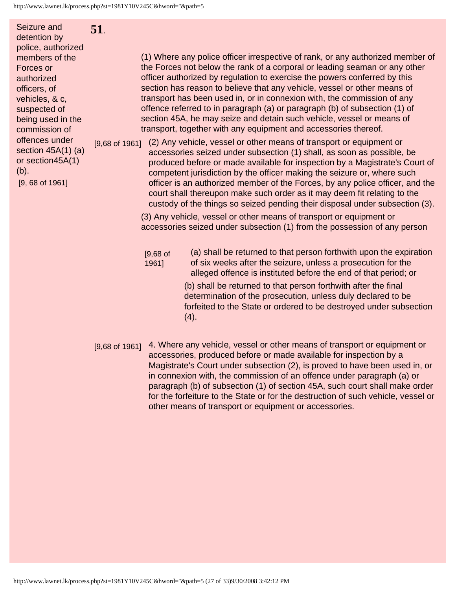Seizure and detention by police, authorized members of the Forces or authorized officers, of vehicles, & c, suspected of being used in the commission of offences under section 45A(1) (a) or section45A(1) (b). [9, 68 of 1961] **51**.

(1) Where any police officer irrespective of rank, or any authorized member of the Forces not below the rank of a corporal or leading seaman or any other officer authorized by regulation to exercise the powers conferred by this section has reason to believe that any vehicle, vessel or other means of transport has been used in, or in connexion with, the commission of any offence referred to in paragraph (a) or paragraph (b) of subsection (1) of section 45A, he may seize and detain such vehicle, vessel or means of transport, together with any equipment and accessories thereof.

[9,68 of 1961] (2) Any vehicle, vessel or other means of transport or equipment or accessories seized under subsection (1) shall, as soon as possible, be produced before or made available for inspection by a Magistrate's Court of competent jurisdiction by the officer making the seizure or, where such officer is an authorized member of the Forces, by any police officer, and the court shall thereupon make such order as it may deem fit relating to the custody of the things so seized pending their disposal under subsection (3).

> (3) Any vehicle, vessel or other means of transport or equipment or accessories seized under subsection (1) from the possession of any person

[9,68 of 1961] (a) shall be returned to that person forthwith upon the expiration of six weeks after the seizure, unless a prosecution for the alleged offence is instituted before the end of that period; or (b) shall be returned to that person forthwith after the final determination of the prosecution, unless duly declared to be forfeited to the State or ordered to be destroyed under subsection

[9,68 of 1961] 4. Where any vehicle, vessel or other means of transport or equipment or accessories, produced before or made available for inspection by a Magistrate's Court under subsection (2), is proved to have been used in, or in connexion with, the commission of an offence under paragraph (a) or paragraph (b) of subsection (1) of section 45A, such court shall make order for the forfeiture to the State or for the destruction of such vehicle, vessel or other means of transport or equipment or accessories.

 $(4).$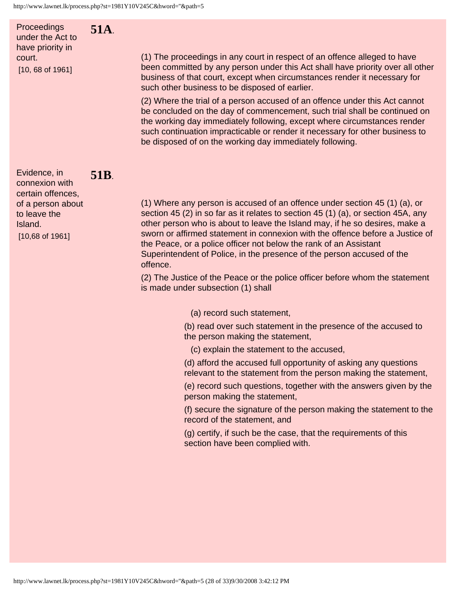**51A**.

**51B**.

Proceedings under the Act to have priority in court. [10, 68 of 1961]

(1) The proceedings in any court in respect of an offence alleged to have been committed by any person under this Act shall have priority over all other business of that court, except when circumstances render it necessary for such other business to be disposed of earlier.

(2) Where the trial of a person accused of an offence under this Act cannot be concluded on the day of commencement, such trial shall be continued on the working day immediately following, except where circumstances render such continuation impracticable or render it necessary for other business to be disposed of on the working day immediately following.

Evidence, in connexion with certain offences, of a person about to leave the Island. [10,68 of 1961]

(1) Where any person is accused of an offence under section 45 (1) (a), or section 45 (2) in so far as it relates to section 45 (1) (a), or section 45A, any other person who is about to leave the Island may, if he so desires, make a sworn or affirmed statement in connexion with the offence before a Justice of the Peace, or a police officer not below the rank of an Assistant Superintendent of Police, in the presence of the person accused of the offence.

(2) The Justice of the Peace or the police officer before whom the statement is made under subsection (1) shall

(a) record such statement,

(b) read over such statement in the presence of the accused to the person making the statement,

(c) explain the statement to the accused,

(d) afford the accused full opportunity of asking any questions relevant to the statement from the person making the statement,

(e) record such questions, together with the answers given by the person making the statement,

(f) secure the signature of the person making the statement to the record of the statement, and

(g) certify, if such be the case, that the requirements of this section have been complied with.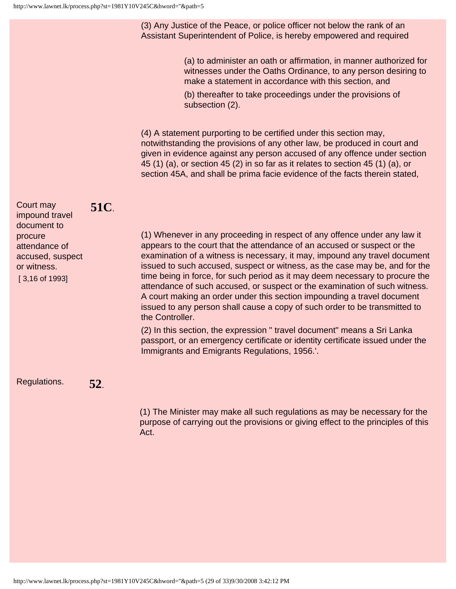(3) Any Justice of the Peace, or police officer not below the rank of an Assistant Superintendent of Police, is hereby empowered and required

> (a) to administer an oath or affirmation, in manner authorized for witnesses under the Oaths Ordinance, to any person desiring to make a statement in accordance with this section, and

(b) thereafter to take proceedings under the provisions of subsection (2).

(4) A statement purporting to be certified under this section may, notwithstanding the provisions of any other law, be produced in court and given in evidence against any person accused of any offence under section 45 (1) (a), or section 45 (2) in so far as it relates to section 45 (1) (a), or section 45A, and shall be prima facie evidence of the facts therein stated,

| Court may<br>impound travel<br>document to<br>procure<br>attendance of<br>accused, suspect<br>or witness.<br>$[3, 16$ of 1993] | <b>51C</b> . | (1) Whenever in any proceeding in respect of any offence under any law it<br>appears to the court that the attendance of an accused or suspect or the<br>examination of a witness is necessary, it may, impound any travel document<br>issued to such accused, suspect or witness, as the case may be, and for the<br>time being in force, for such period as it may deem necessary to procure the<br>attendance of such accused, or suspect or the examination of such witness.<br>A court making an order under this section impounding a travel document<br>issued to any person shall cause a copy of such order to be transmitted to<br>the Controller.<br>(2) In this section, the expression "travel document" means a Sri Lanka<br>passport, or an emergency certificate or identity certificate issued under the<br>Immigrants and Emigrants Regulations, 1956.'. |
|--------------------------------------------------------------------------------------------------------------------------------|--------------|----------------------------------------------------------------------------------------------------------------------------------------------------------------------------------------------------------------------------------------------------------------------------------------------------------------------------------------------------------------------------------------------------------------------------------------------------------------------------------------------------------------------------------------------------------------------------------------------------------------------------------------------------------------------------------------------------------------------------------------------------------------------------------------------------------------------------------------------------------------------------|
| Regulations.                                                                                                                   | 52.          |                                                                                                                                                                                                                                                                                                                                                                                                                                                                                                                                                                                                                                                                                                                                                                                                                                                                            |

(1) The Minister may make all such regulations as may be necessary for the purpose of carrying out the provisions or giving effect to the principles of this Act.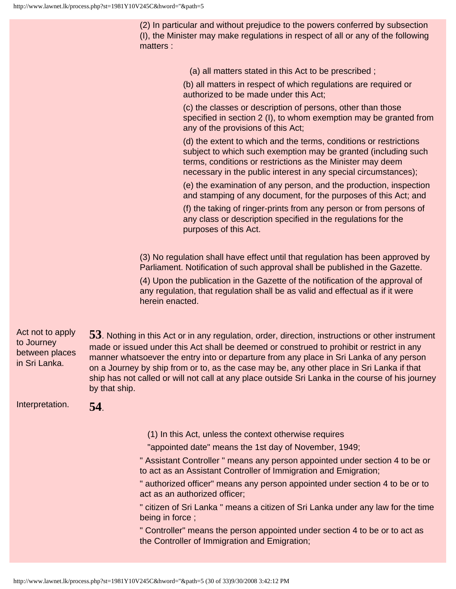(2) In particular and without prejudice to the powers conferred by subsection (I), the Minister may make regulations in respect of all or any of the following matters :

(a) all matters stated in this Act to be prescribed ;

(b) all matters in respect of which regulations are required or authorized to be made under this Act;

(c) the classes or description of persons, other than those specified in section 2 (I), to whom exemption may be granted from any of the provisions of this Act;

(d) the extent to which and the terms, conditions or restrictions subject to which such exemption may be granted (including such terms, conditions or restrictions as the Minister may deem necessary in the public interest in any special circumstances);

(e) the examination of any person, and the production, inspection and stamping of any document, for the purposes of this Act; and

(f) the taking of ringer-prints from any person or from persons of any class or description specified in the regulations for the purposes of this Act.

(3) No regulation shall have effect until that regulation has been approved by Parliament. Notification of such approval shall be published in the Gazette.

(4) Upon the publication in the Gazette of the notification of the approval of any regulation, that regulation shall be as valid and effectual as if it were herein enacted.

Act not to apply to Journey between places in Sri Lanka. **53**. Nothing in this Act or in any regulation, order, direction, instructions or other instrument made or issued under this Act shall be deemed or construed to prohibit or restrict in any manner whatsoever the entry into or departure from any place in Sri Lanka of any person on a Journey by ship from or to, as the case may be, any other place in Sri Lanka if that ship has not called or will not call at any place outside Sri Lanka in the course of his journey by that ship.

Interpretation. **54**.

- (1) In this Act, unless the context otherwise requires
- "appointed date" means the 1st day of November, 1949;
- " Assistant Controller " means any person appointed under section 4 to be or to act as an Assistant Controller of Immigration and Emigration;

" authorized officer" means any person appointed under section 4 to be or to act as an authorized officer;

" citizen of Sri Lanka " means a citizen of Sri Lanka under any law for the time being in force ;

" Controller" means the person appointed under section 4 to be or to act as the Controller of Immigration and Emigration;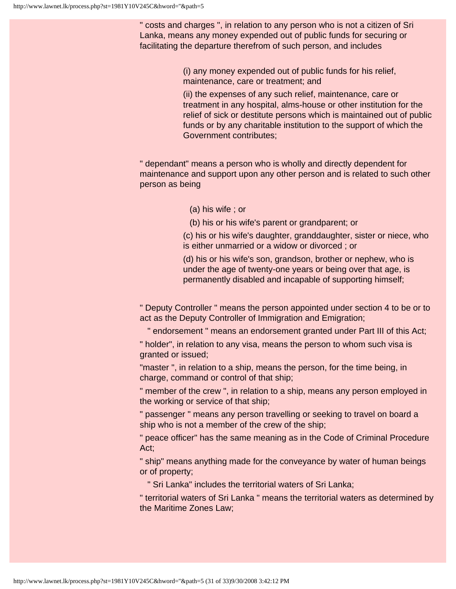" costs and charges ", in relation to any person who is not a citizen of Sri Lanka, means any money expended out of public funds for securing or facilitating the departure therefrom of such person, and includes

> (i) any money expended out of public funds for his relief, maintenance, care or treatment; and

(ii) the expenses of any such relief, maintenance, care or treatment in any hospital, alms-house or other institution for the relief of sick or destitute persons which is maintained out of public funds or by any charitable institution to the support of which the Government contributes;

" dependant" means a person who is wholly and directly dependent for maintenance and support upon any other person and is related to such other person as being

- (a) his wife ; or
- (b) his or his wife's parent or grandparent; or

(c) his or his wife's daughter, granddaughter, sister or niece, who is either unmarried or a widow or divorced ; or

(d) his or his wife's son, grandson, brother or nephew, who is under the age of twenty-one years or being over that age, is permanently disabled and incapable of supporting himself;

" Deputy Controller " means the person appointed under section 4 to be or to act as the Deputy Controller of Immigration and Emigration;

" endorsement " means an endorsement granted under Part III of this Act;

" holder", in relation to any visa, means the person to whom such visa is granted or issued;

"master ", in relation to a ship, means the person, for the time being, in charge, command or control of that ship;

" member of the crew ", in relation to a ship, means any person employed in the working or service of that ship;

" passenger " means any person travelling or seeking to travel on board a ship who is not a member of the crew of the ship;

" peace officer" has the same meaning as in the Code of Criminal Procedure Act;

" ship" means anything made for the conveyance by water of human beings or of property;

" Sri Lanka" includes the territorial waters of Sri Lanka;

" territorial waters of Sri Lanka " means the territorial waters as determined by the Maritime Zones Law;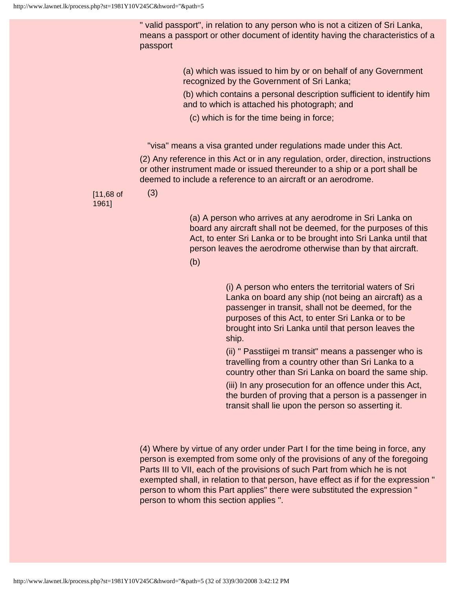" valid passport", in relation to any person who is not a citizen of Sri Lanka, means a passport or other document of identity having the characteristics of a passport

> (a) which was issued to him by or on behalf of any Government recognized by the Government of Sri Lanka;

(b) which contains a personal description sufficient to identify him and to which is attached his photograph; and

(c) which is for the time being in force;

"visa" means a visa granted under regulations made under this Act.

(2) Any reference in this Act or in any regulation, order, direction, instructions or other instrument made or issued thereunder to a ship or a port shall be deemed to include a reference to an aircraft or an aerodrome.

[11,68 of 1961]

(3)

(a) A person who arrives at any aerodrome in Sri Lanka on board any aircraft shall not be deemed, for the purposes of this Act, to enter Sri Lanka or to be brought into Sri Lanka until that person leaves the aerodrome otherwise than by that aircraft.

(b)

(i) A person who enters the territorial waters of Sri Lanka on board any ship (not being an aircraft) as a passenger in transit, shall not be deemed, for the purposes of this Act, to enter Sri Lanka or to be brought into Sri Lanka until that person leaves the ship.

(ii) " Passtiigei m transit" means a passenger who is travelling from a country other than Sri Lanka to a country other than Sri Lanka on board the same ship.

(iii) In any prosecution for an offence under this Act, the burden of proving that a person is a passenger in transit shall lie upon the person so asserting it.

(4) Where by virtue of any order under Part I for the time being in force, any person is exempted from some only of the provisions of any of the foregoing Parts III to VII, each of the provisions of such Part from which he is not exempted shall, in relation to that person, have effect as if for the expression " person to whom this Part applies" there were substituted the expression " person to whom this section applies ".